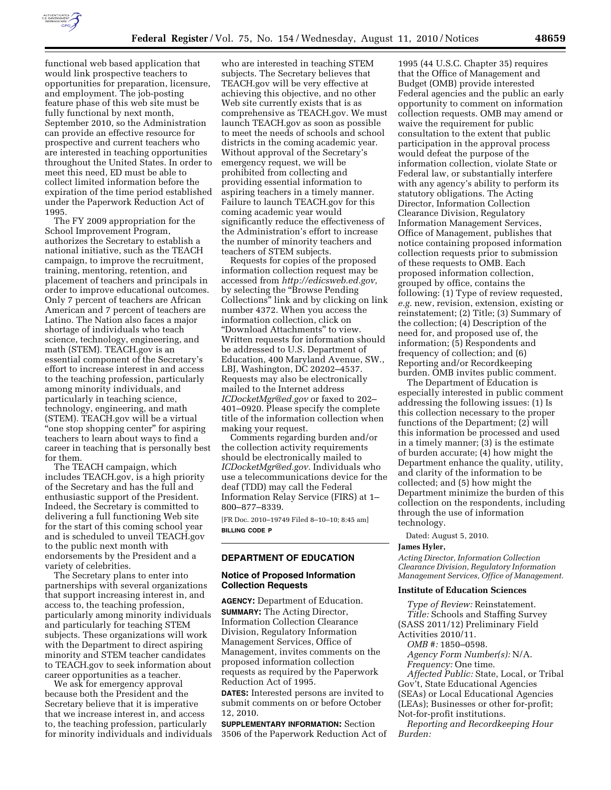

functional web based application that would link prospective teachers to opportunities for preparation, licensure, and employment. The job-posting feature phase of this web site must be fully functional by next month, September 2010, so the Administration can provide an effective resource for prospective and current teachers who are interested in teaching opportunities throughout the United States. In order to meet this need, ED must be able to collect limited information before the expiration of the time period established under the Paperwork Reduction Act of 1995.

The FY 2009 appropriation for the School Improvement Program, authorizes the Secretary to establish a national initiative, such as the TEACH campaign, to improve the recruitment, training, mentoring, retention, and placement of teachers and principals in order to improve educational outcomes. Only 7 percent of teachers are African American and 7 percent of teachers are Latino. The Nation also faces a major shortage of individuals who teach science, technology, engineering, and math (STEM). TEACH.gov is an essential component of the Secretary's effort to increase interest in and access to the teaching profession, particularly among minority individuals, and particularly in teaching science, technology, engineering, and math (STEM). TEACH.gov will be a virtual "one stop shopping center" for aspiring teachers to learn about ways to find a career in teaching that is personally best for them.

The TEACH campaign, which includes TEACH.gov, is a high priority of the Secretary and has the full and enthusiastic support of the President. Indeed, the Secretary is committed to delivering a full functioning Web site for the start of this coming school year and is scheduled to unveil TEACH.gov to the public next month with endorsements by the President and a variety of celebrities.

The Secretary plans to enter into partnerships with several organizations that support increasing interest in, and access to, the teaching profession, particularly among minority individuals and particularly for teaching STEM subjects. These organizations will work with the Department to direct aspiring minority and STEM teacher candidates to TEACH.gov to seek information about career opportunities as a teacher.

We ask for emergency approval because both the President and the Secretary believe that it is imperative that we increase interest in, and access to, the teaching profession, particularly for minority individuals and individuals

who are interested in teaching STEM subjects. The Secretary believes that TEACH.gov will be very effective at achieving this objective, and no other Web site currently exists that is as comprehensive as TEACH.gov. We must launch TEACH.gov as soon as possible to meet the needs of schools and school districts in the coming academic year. Without approval of the Secretary's emergency request, we will be prohibited from collecting and providing essential information to aspiring teachers in a timely manner. Failure to launch TEACH.gov for this coming academic year would significantly reduce the effectiveness of the Administration's effort to increase the number of minority teachers and teachers of STEM subjects.

Requests for copies of the proposed information collection request may be accessed from *[http://edicsweb.ed.gov,](http://edicsweb.ed.gov)*  by selecting the ''Browse Pending Collections'' link and by clicking on link number 4372. When you access the information collection, click on ''Download Attachments'' to view. Written requests for information should be addressed to U.S. Department of Education, 400 Maryland Avenue, SW., LBJ, Washington, DC 20202–4537. Requests may also be electronically mailed to the Internet address *[ICDocketMgr@ed.gov](mailto:ICDocketMgr@ed.gov)* or faxed to 202– 401–0920. Please specify the complete title of the information collection when making your request.

Comments regarding burden and/or the collection activity requirements should be electronically mailed to *[ICDocketMgr@ed.gov.](mailto:ICDocketMgr@ed.gov)* Individuals who use a telecommunications device for the deaf (TDD) may call the Federal Information Relay Service (FIRS) at 1– 800–877–8339.

[FR Doc. 2010–19749 Filed 8–10–10; 8:45 am] **BILLING CODE P** 

# **DEPARTMENT OF EDUCATION**

### **Notice of Proposed Information Collection Requests**

**AGENCY:** Department of Education. **SUMMARY:** The Acting Director, Information Collection Clearance Division, Regulatory Information Management Services, Office of Management, invites comments on the proposed information collection requests as required by the Paperwork Reduction Act of 1995.

**DATES:** Interested persons are invited to submit comments on or before October 12, 2010.

**SUPPLEMENTARY INFORMATION:** Section 3506 of the Paperwork Reduction Act of

1995 (44 U.S.C. Chapter 35) requires that the Office of Management and Budget (OMB) provide interested Federal agencies and the public an early opportunity to comment on information collection requests. OMB may amend or waive the requirement for public consultation to the extent that public participation in the approval process would defeat the purpose of the information collection, violate State or Federal law, or substantially interfere with any agency's ability to perform its statutory obligations. The Acting Director, Information Collection Clearance Division, Regulatory Information Management Services, Office of Management, publishes that notice containing proposed information collection requests prior to submission of these requests to OMB. Each proposed information collection, grouped by office, contains the following: (1) Type of review requested, *e.g.* new, revision, extension, existing or reinstatement; (2) Title; (3) Summary of the collection; (4) Description of the need for, and proposed use of, the information; (5) Respondents and frequency of collection; and (6) Reporting and/or Recordkeeping burden. OMB invites public comment.

The Department of Education is especially interested in public comment addressing the following issues: (1) Is this collection necessary to the proper functions of the Department; (2) will this information be processed and used in a timely manner; (3) is the estimate of burden accurate; (4) how might the Department enhance the quality, utility, and clarity of the information to be collected; and (5) how might the Department minimize the burden of this collection on the respondents, including through the use of information technology.

Dated: August 5, 2010.

# **James Hyler,**

*Acting Director, Information Collection Clearance Division, Regulatory Information Management Services, Office of Management.* 

### **Institute of Education Sciences**

*Type of Review:* Reinstatement. *Title:* Schools and Staffing Survey (SASS 2011/12) Preliminary Field

Activities 2010/11.

*OMB #:* 1850–0598.

*Agency Form Number(s):* N/A. *Frequency:* One time.

*Affected Public:* State, Local, or Tribal Gov't, State Educational Agencies (SEAs) or Local Educational Agencies (LEAs); Businesses or other for-profit; Not-for-profit institutions.

*Reporting and Recordkeeping Hour Burden:*